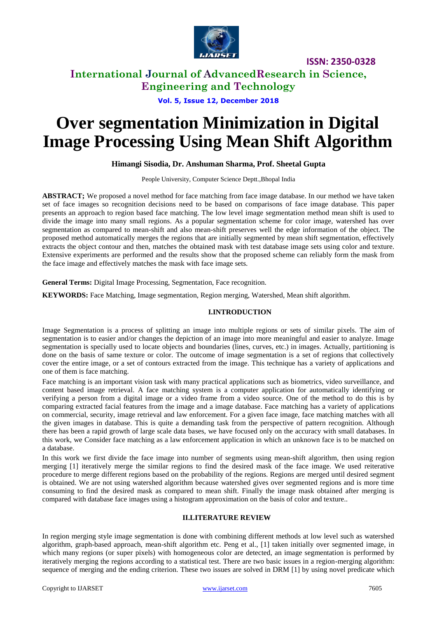

# **International Journal of AdvancedResearch in Science, Engineering and Technology**

### **Vol. 5, Issue 12, December 2018**

# **Over segmentation Minimization in Digital Image Processing Using Mean Shift Algorithm**

### **Himangi Sisodia, Dr. Anshuman Sharma, Prof. Sheetal Gupta**

People University, Computer Science Deptt.,Bhopal India

**ABSTRACT;** We proposed a novel method for face matching from face image database. In our method we have taken set of face images so recognition decisions need to be based on comparisons of face image database. This paper presents an approach to region based face matching. The low level image segmentation method mean shift is used to divide the image into many small regions. As a popular segmentation scheme for color image, watershed has over segmentation as compared to mean-shift and also mean-shift preserves well the edge information of the object. The proposed method automatically merges the regions that are initially segmented by mean shift segmentation, effectively extracts the object contour and then, matches the obtained mask with test database image sets using color and texture. Extensive experiments are performed and the results show that the proposed scheme can reliably form the mask from the face image and effectively matches the mask with face image sets.

**General Terms:** Digital Image Processing, Segmentation, Face recognition.

**KEYWORDS:** Face Matching, Image segmentation, Region merging, Watershed, Mean shift algorithm.

### **I.INTRODUCTION**

Image Segmentation is a process of splitting an image into multiple regions or sets of similar pixels. The aim of segmentation is to easier and/or changes the depiction of an image into more meaningful and easier to analyze. Image segmentation is specially used to locate objects and boundaries (lines, curves, etc.) in images. Actually, partitioning is done on the basis of same texture or color. The outcome of image segmentation is a set of regions that collectively cover the entire image, or a set of contours extracted from the image. This technique has a variety of applications and one of them is face matching.

Face matching is an important vision task with many practical applications such as biometrics, video surveillance, and content based image retrieval. A face matching system is a computer application for automatically identifying or verifying a person from a digital image or a video frame from a video source. One of the method to do this is by comparing extracted facial features from the image and a image database. Face matching has a variety of applications on commercial, security, image retrieval and law enforcement. For a given face image, face matching matches with all the given images in database. This is quite a demanding task from the perspective of pattern recognition. Although there has been a rapid growth of large scale data bases, we have focused only on the accuracy with small databases. In this work, we Consider face matching as a law enforcement application in which an unknown face is to be matched on a database.

In this work we first divide the face image into number of segments using mean-shift algorithm, then using region merging [1] iteratively merge the similar regions to find the desired mask of the face image. We used reiterative procedure to merge different regions based on the probability of the regions. Regions are merged until desired segment is obtained. We are not using watershed algorithm because watershed gives over segmented regions and is more time consuming to find the desired mask as compared to mean shift. Finally the image mask obtained after merging is compared with database face images using a histogram approximation on the basis of color and texture..

### **II.LITERATURE REVIEW**

In region merging style image segmentation is done with combining different methods at low level such as watershed algorithm, graph-based approach, mean-shift algorithm etc. Peng et al., [1] taken initially over segmented image, in which many regions (or super pixels) with homogeneous color are detected, an image segmentation is performed by iteratively merging the regions according to a statistical test. There are two basic issues in a region-merging algorithm: sequence of merging and the ending criterion. These two issues are solved in DRM [1] by using novel predicate which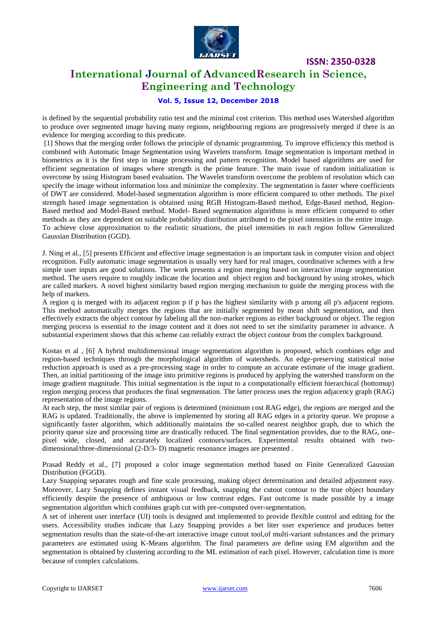

### **International Journal of AdvancedResearch in Science, Engineering and Technology**

### **Vol. 5, Issue 12, December 2018**

is defined by the sequential probability ratio test and the minimal cost criterion. This method uses Watershed algorithm to produce over segmented image having many regions, neighbouring regions are progressively merged if there is an evidence for merging according to this predicate.

[1] Shows that the merging order follows the principle of dynamic programming. To improve efficiency this method is combined with Automatic Image Segmentation using Wavelets transform. Image segmentation is important method in biometrics as it is the first step in image processing and pattern recognition. Model based algorithms are used for efficient segmentation of images where strength is the prime feature. The main issue of random initialization is overcome by using Histogram based evaluation. The Wavelet transform overcome the problem of resolution which can specify the image without information loss and minimize the complexity. The segmentation is faster where coefficients of DWT are considered. Model-based segmentation algorithm is more efficient compared to other methods. The pixel strength based image segmentation is obtained using RGB Histogram-Based method, Edge-Based method, Region-Based method and Model-Based method. Model- Based segmentation algorithms is more efficient compared to other methods as they are dependent on suitable probability distribution attributed to the pixel intensities in the entire image. To achieve close approximation to the realistic situations, the pixel intensities in each region follow Generalized Gaussian Distribution (GGD).

J. Ning et al., [5] presents Efficient and effective image segmentation is an important task in computer vision and object recognition. Fully automatic image segmentation is usually very hard for real images, coordinative schemes with a few simple user inputs are good solutions. The work presents a region merging based on interactive image segmentation method. The users require to roughly indicate the location and object region and background by using strokes, which are called markers. A novel highest similarity based region merging mechanism to guide the merging process with the help of markers.

A region q is merged with its adjacent region p if p has the highest similarity with p among all p's adjacent regions. This method automatically merges the regions that are initially segmented by mean shift segmentation, and then effectively extracts the object contour by labeling all the non-marker regions as either background or object. The region merging process is essential to the image content and it does not need to set the similarity parameter in advance. A substantial experiment shows that this scheme can reliably extract the object contour from the complex background.

Kostas et al , [6] A hybrid multidimensional image segmentation algorithm is proposed, which combines edge and region-based techniques through the morphological algorithm of watersheds. An edge-preserving statistical noise reduction approach is used as a pre-processing stage in order to compute an accurate estimate of the image gradient. Then, an initial partitioning of the image into primitive regions is produced by applying the watershed transform on the image gradient magnitude. This initial segmentation is the input to a computationally efficient hierarchical (bottomup) region merging process that produces the final segmentation. The latter process uses the region adjacency graph (RAG) representation of the image regions.

At each step, the most similar pair of regions is determined (minimum cost RAG edge), the regions are merged and the RAG is updated. Traditionally, the above is implemented by storing all RAG edges in a priority queue. We propose a significantly faster algorithm, which additionally maintains the so-called nearest neighbor graph, due to which the priority queue size and processing time are drastically reduced. The final segmentation provides, due to the RAG, onepixel wide, closed, and accurately localized contours/surfaces. Experimental results obtained with twodimensional/three-dimensional (2-D/3- D) magnetic resonance images are presented .

Prasad Reddy et al., [7] proposed a color image segmentation method based on Finite Generalized Gaussian Distribution (FGGD).

Lazy Snapping separates rough and fine scale processing, making object determination and detailed adjustment easy. Moreover, Lazy Snapping defines instant visual feedback, snapping the cutout contour to the true object boundary efficiently despite the presence of ambiguous or low contrast edges. Fast outcome is made possible by a image segmentation algorithm which combines graph cut with pre-computed over-segmentation.

A set of inherent user interface (UI) tools is designed and implemented to provide flexible control and editing for the users. Accessibility studies indicate that Lazy Snapping provides a bet liter user experience and produces better segmentation results than the state-of-the-art interactive image cutout tool,of multi-variant substances and the primary parameters are estimated using K-Means algorithm. The final parameters are define using EM algorithm and the segmentation is obtained by clustering according to the ML estimation of each pixel. However, calculation time is more because of complex calculations.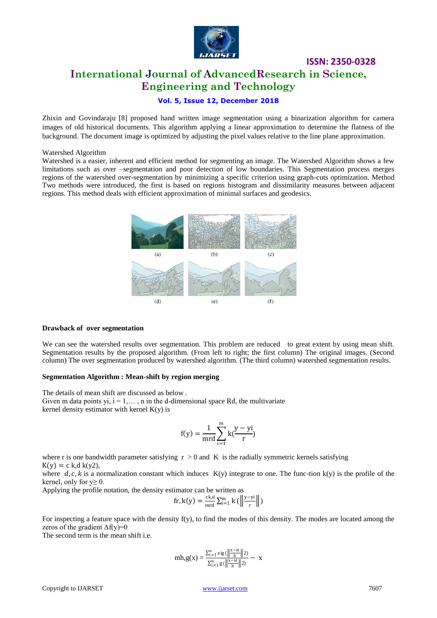

# **ISSN: 2350-0328 International Journal of AdvancedResearch in Science, Engineering and Technology**

### **Vol. 5, Issue 12, December 2018**

Zhixin and Govindaraju [8] proposed hand written image segmentation using a binarization algorithm for camera images of old historical documents. This algorithm applying a linear approximation to determine the flatness of the background. The document image is optimized by adjusting the pixel values relative to the line plane approximation.

#### Watershed Algorithm

Watershed is a easier, inherent and efficient method for segmenting an image. The Watershed Algorithm shows a few limitations such as over –segmentation and poor detection of low boundaries. This Segmentation process merges regions of the watershed over-segmentation by minimizing a specific criterion using graph-cuts optimization. Method Two methods were introduced, the first is based on regions histogram and dissimilarity measures between adjacent regions. This method deals with efficient approximation of minimal surfaces and geodesics.



#### **Drawback of over segmentation**

We can see the watershed results over segmentation. This problem are reduced to great extent by using mean shift. Segmentation results by the proposed algorithm. (From left to right; the first column) The original images. (Second column) The over segmentation produced by watershed algorithm. (The third column) watershed segmentation results.

#### **Segmentation Algorithm : Mean-shift by region merging**

The details of mean shift are discussed as below . Given m data points yi,  $i = 1, \ldots, n$  in the d-dimensional space Rd, the multivariate kernel density estimator with kernel  $K(y)$  is

$$
f(y) = \frac{1}{mrd} \sum_{i=1}^{m} k(\frac{y - yi}{r})
$$

where r is one bandwidth parameter satisfying  $r > 0$  and K is the radially symmetric kernels satisfying  $K(y) = c k, d k(y2),$ 

where d, c, k is a normalization constant which induces  $K(y)$  integrate to one. The func-tion k(y) is the profile of the kernel, only for  $y \geq 0$ .

Applying the profile notation, the density estimator can be written as

$$
\text{fr}, \text{k}(y) = \frac{\text{ck}, d}{\text{mrd}} \sum_{i=1}^{m} \text{k} \left( \left\| \frac{y - yi}{r} \right\| \right)
$$

For inspecting a feature space with the density  $f(y)$ , to find the modes of this density. The modes are located among the zeros of the gradient  $\Delta f(y)=0$ 

The second term is the mean shift i.e.

$$
mh, g(x)=\frac{\Sigma_{i=1}^n \, \text{sig}(\left\|\frac{x-xi}{h}\right\|2)}{\Sigma_{i=1}^n \, g(\left\|\frac{x-xi}{h}\right\|2)}- \, x
$$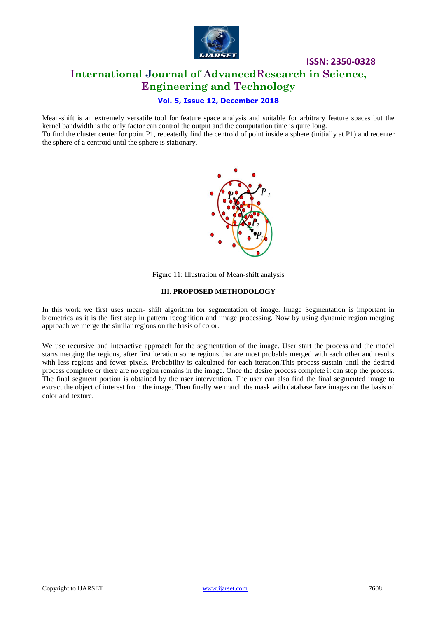

# **ISSN: 2350-0328 International Journal of AdvancedResearch in Science, Engineering and Technology**

### **Vol. 5, Issue 12, December 2018**

Mean-shift is an extremely versatile tool for feature space analysis and suitable for arbitrary feature spaces but the kernel bandwidth is the only factor can control the output and the computation time is quite long. To find the cluster center for point P1, repeatedly find the centroid of point inside a sphere (initially at P1) and recenter the sphere of a centroid until the sphere is stationary.



Figure 11: Illustration of Mean-shift analysis

### **III. PROPOSED METHODOLOGY**

In this work we first uses mean- shift algorithm for segmentation of image. Image Segmentation is important in biometrics as it is the first step in pattern recognition and image processing. Now by using dynamic region merging approach we merge the similar regions on the basis of color.

We use recursive and interactive approach for the segmentation of the image. User start the process and the model starts merging the regions, after first iteration some regions that are most probable merged with each other and results with less regions and fewer pixels. Probability is calculated for each iteration.This process sustain until the desired process complete or there are no region remains in the image. Once the desire process complete it can stop the process. The final segment portion is obtained by the user intervention. The user can also find the final segmented image to extract the object of interest from the image. Then finally we match the mask with database face images on the basis of color and texture.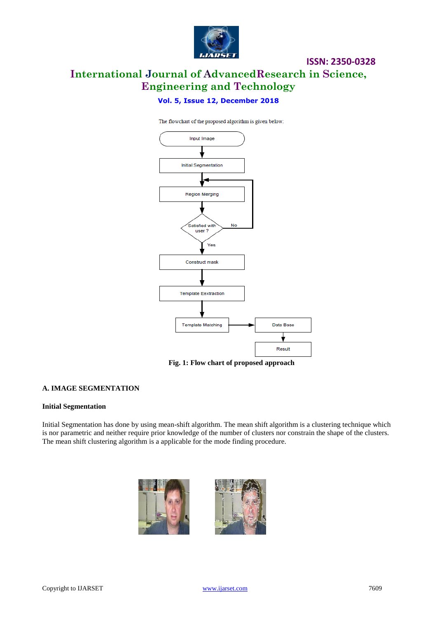

# **ISSN: 2350-0328 International Journal of AdvancedResearch in Science, Engineering and Technology**

### **Vol. 5, Issue 12, December 2018**

The flowchart of the proposed algorithm is given below:



**Fig. 1: Flow chart of proposed approach**

### **A. IMAGE SEGMENTATION**

#### **Initial Segmentation**

Initial Segmentation has done by using mean-shift algorithm. The mean shift algorithm is a clustering technique which is nor parametric and neither require prior knowledge of the number of clusters nor constrain the shape of the clusters. The mean shift clustering algorithm is a applicable for the mode finding procedure.

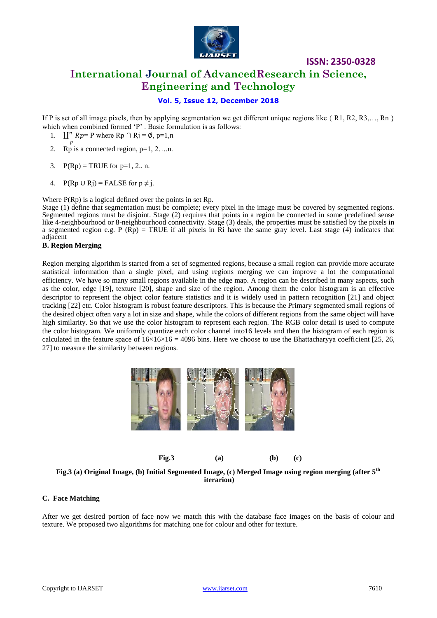

# **International Journal of AdvancedResearch in Science, Engineering and Technology**

### **Vol. 5, Issue 12, December 2018**

If P is set of all image pixels, then by applying segmentation we get different unique regions like { R1, R2, R3,…, Rn } which when combined formed 'P'. Basic formulation is as follows:

- 1.  $\mathbb{I}^n$  Rp= P where Rp  $\cap$  Rj = Ø, p=1,n
- p 2. Rp is a connected region,  $p=1, 2, \ldots$ n.
- 3.  $P(Rp) = TRUE$  for p=1, 2.. n.
- 4. P(Rp ∪ Rj) = FALSE for  $p \neq j$ .

Where P(Rp) is a logical defined over the points in set Rp.

Stage (1) define that segmentation must be complete; every pixel in the image must be covered by segmented regions. Segmented regions must be disjoint. Stage (2) requires that points in a region be connected in some predefined sense like 4-neighbourhood or 8-neighbourhood connectivity. Stage (3) deals, the properties must be satisfied by the pixels in a segmented region e.g. P ( $Rp$ ) = TRUE if all pixels in Ri have the same gray level. Last stage (4) indicates that adjacent

### **B. Region Merging**

Region merging algorithm is started from a set of segmented regions, because a small region can provide more accurate statistical information than a single pixel, and using regions merging we can improve a lot the computational efficiency. We have so many small regions available in the edge map. A region can be described in many aspects, such as the color, edge [19], texture [20], shape and size of the region. Among them the color histogram is an effective descriptor to represent the object color feature statistics and it is widely used in pattern recognition [21] and object tracking [22] etc. Color histogram is robust feature descriptors. This is because the Primary segmented small regions of the desired object often vary a lot in size and shape, while the colors of different regions from the same object will have high similarity. So that we use the color histogram to represent each region. The RGB color detail is used to compute the color histogram. We uniformly quantize each color channel into16 levels and then the histogram of each region is calculated in the feature space of  $16\times16\times16 = 4096$  bins. Here we choose to use the Bhattacharyya coefficient [25, 26, 27] to measure the similarity between regions.



**Fig.3 (a) Original Image, (b) Initial Segmented Image, (c) Merged Image using region merging (after 5th iterarion)**

### **C. Face Matching**

After we get desired portion of face now we match this with the database face images on the basis of colour and texture. We proposed two algorithms for matching one for colour and other for texture.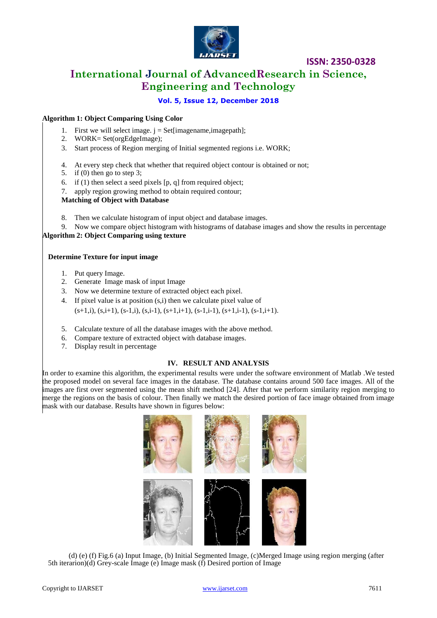

# **International Journal of AdvancedResearch in Science, Engineering and Technology**

### **Vol. 5, Issue 12, December 2018**

### **Algorithm 1: Object Comparing Using Color**

- 1. First we will select image.  $j = Set[imagename, imagepath];$
- 2. WORK= Set(orgEdgeImage);
- 3. Start process of Region merging of Initial segmented regions i.e. WORK;
- 4. At every step check that whether that required object contour is obtained or not;
- 5. if (0) then go to step 3;
- 6. if  $(1)$  then select a seed pixels  $[p, q]$  from required object;
- 7. apply region growing method to obtain required contour;

**Matching of Object with Database**

- 8. Then we calculate histogram of input object and database images.
- 9. Now we compare object histogram with histograms of database images and show the results in percentage **Algorithm 2: Object Comparing using texture**

### **Determine Texture for input image**

- 1. Put query Image.
- 2. Generate Image mask of input Image
- 3. Now we determine texture of extracted object each pixel.
- 4. If pixel value is at position (s,i) then we calculate pixel value of  $(s+1,i)$ ,  $(s,i+1)$ ,  $(s-1,i)$ ,  $(s,i-1)$ ,  $(s+1,i+1)$ ,  $(s-1,i-1)$ ,  $(s+1,i-1)$ ,  $(s-1,i+1)$ .
- 5. Calculate texture of all the database images with the above method.
- 6. Compare texture of extracted object with database images.
- 7. Display result in percentage

### **IV. RESULT AND ANALYSIS**

In order to examine this algorithm, the experimental results were under the software environment of Matlab .We tested the proposed model on several face images in the database. The database contains around 500 face images. All of the images are first over segmented using the mean shift method [24]. After that we perform similarity region merging to merge the regions on the basis of colour. Then finally we match the desired portion of face image obtained from image mask with our database. Results have shown in figures below:



(d) (e) (f) Fig.6 (a) Input Image, (b) Initial Segmented Image, (c)Merged Image using region merging (after 5th iterarion)(d) Grey-scale Image (e) Image mask (f) Desired portion of Image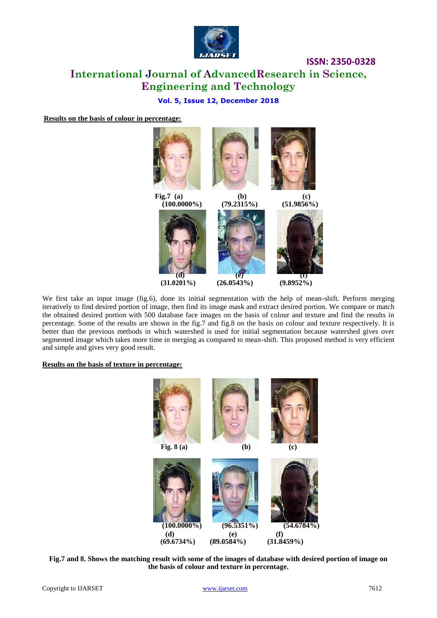

# **International Journal of AdvancedResearch in Science, Engineering and Technology**

### **Vol. 5, Issue 12, December 2018**

**Results on the basis of colour in percentage:**



We first take an input image (fig.6), done its initial segmentation with the help of mean-shift. Perform merging iteratively to find desired portion of image, then find its image mask and extract desired portion. We compare or match the obtained desired portion with 500 database face images on the basis of colour and texture and find the results in percentage. Some of the results are shown in the fig.7 and fig.8 on the basis on colour and texture respectively. It is better than the previous methods in which watershed is used for initial segmentation because watershed gives over segmented image which takes more time in merging as compared to mean-shift. This proposed method is very efficient and simple and gives very good result.

### **Results on the basis of texture in percentage:**



**Fig.7 and 8. Shows the matching result with some of the images of database with desired portion of image on the basis of colour and texture in percentage.**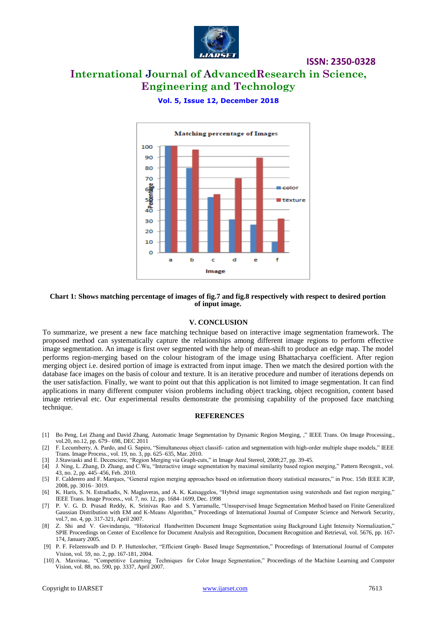

# **International Journal of AdvancedResearch in Science, Engineering and Technology**

**Vol. 5, Issue 12, December 2018**



#### **Chart 1: Shows matching percentage of images of fig.7 and fig.8 respectively with respect to desired portion of input image.**

#### **V. CONCLUSION**

To summarize, we present a new face matching technique based on interactive image segmentation framework. The proposed method can systematically capture the relationships among different image regions to perform effective image segmentation. An image is first over segmented with the help of mean-shift to produce an edge map. The model performs region-merging based on the colour histogram of the image using Bhattacharya coefficient. After region merging object i.e. desired portion of image is extracted from input image. Then we match the desired portion with the database face images on the basis of colour and texture. It is an iterative procedure and number of iterations depends on the user satisfaction. Finally, we want to point out that this application is not limited to image segmentation. It can find applications in many different computer vision problems including object tracking, object recognition, content based image retrieval etc. Our experimental results demonstrate the promising capability of the proposed face matching technique.

#### **REFERENCES**

- [1] Bo Peng, Lei Zhang and David Zhang, Automatic Image Segmentation by Dynamic Region Merging, ," IEEE Trans. On Image Processing., vol.20, no.12, pp. 679– 698, DEC 2011
- [2] F. Lecumberry, A. Pardo, and G. Sapiro, "Simultaneous object classifi- cation and segmentation with high-order multiple shape models," IEEE Trans. Image Process., vol. 19, no. 3, pp. 625–635, Mar. 2010.
- [3] J.Stawiaski and E. Decenciere, "Region Merging via Graph-cuts," in Image Anal Stereol, 2008;27, pp. 39-45.
- [4] J. Ning, L. Zhang, D. Zhang, and C.Wu, "Interactive image segmentation by maximal similarity based region merging," Pattern Recognit., vol. 43, no. 2, pp. 445–456, Feb. 2010.
- [5] F. Calderero and F. Marques, "General region merging approaches based on information theory statistical measures," in Proc. 15th IEEE ICIP, 2008, pp. 3016– 3019.
- [6] K. Haris, S. N. Estradiadis, N. Maglaveras, and A. K. Katsaggelos, "Hybrid image segmentation using watersheds and fast region merging," IEEE Trans. Image Process., vol. 7, no. 12, pp. 1684–1699, Dec. 1998
- [7] P. V. G. D. Prasad Reddy, K. Srinivas Rao and S. Yarramalle, "Unsupervised Image Segmentation Method based on Finite Generalized Gaussian Distribution with EM and K-Means Algorithm," Proceedings of International Journal of Computer Science and Network Security, vol.7, no. 4, pp. 317-321, April 2007.
- [8] Z. Shi and V. Govindaraju, "Historical Handwritten Document Image Segmentation using Background Light Intensity Normalization," SPIE Proceedings on Center of Excellence for Document Analysis and Recognition, Document Recognition and Retrieval, vol. 5676, pp. 167- 174, January 2005.
- [9] P. F. Felzenswalb and D. P. Huttenlocher, "Efficient Graph- Based Image Segmentation," Proceedings of International Journal of Computer Vision, vol. 59, no. 2, pp. 167-181, 2004.
- [10] A. Mavrinac, "Competitive Learning Techniques for Color Image Segmentation," Proceedings of the Machine Learning and Computer Vision, vol. 88, no. 590, pp. 3337, April 2007.